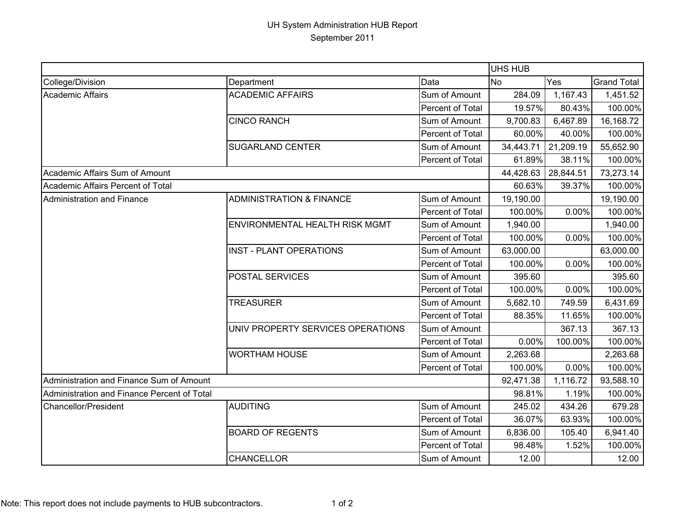## UH System Administration HUB Report September 2011

|                                             |                                     |                  | <b>UHS HUB</b> |           |                    |
|---------------------------------------------|-------------------------------------|------------------|----------------|-----------|--------------------|
| College/Division                            | Department                          | Data             | <b>No</b>      | Yes       | <b>Grand Total</b> |
| <b>Academic Affairs</b>                     | <b>ACADEMIC AFFAIRS</b>             | Sum of Amount    | 284.09         | 1,167.43  | 1,451.52           |
|                                             |                                     | Percent of Total | 19.57%         | 80.43%    | 100.00%            |
|                                             | <b>CINCO RANCH</b>                  | Sum of Amount    | 9,700.83       | 6,467.89  | 16,168.72          |
|                                             |                                     | Percent of Total | 60.00%         | 40.00%    | 100.00%            |
|                                             | <b>SUGARLAND CENTER</b>             | Sum of Amount    | 34,443.71      | 21,209.19 | 55,652.90          |
|                                             |                                     | Percent of Total | 61.89%         | 38.11%    | 100.00%            |
| Academic Affairs Sum of Amount              |                                     |                  | 44,428.63      | 28,844.51 | 73,273.14          |
| Academic Affairs Percent of Total           |                                     |                  | 60.63%         | 39.37%    | 100.00%            |
| Administration and Finance                  | <b>ADMINISTRATION &amp; FINANCE</b> | Sum of Amount    | 19,190.00      |           | 19,190.00          |
|                                             |                                     | Percent of Total | 100.00%        | 0.00%     | 100.00%            |
|                                             | ENVIRONMENTAL HEALTH RISK MGMT      | Sum of Amount    | 1,940.00       |           | 1,940.00           |
|                                             |                                     | Percent of Total | 100.00%        | 0.00%     | 100.00%            |
|                                             | <b>INST - PLANT OPERATIONS</b>      | Sum of Amount    | 63,000.00      |           | 63,000.00          |
|                                             |                                     | Percent of Total | 100.00%        | 0.00%     | 100.00%            |
|                                             | POSTAL SERVICES                     | Sum of Amount    | 395.60         |           | 395.60             |
|                                             |                                     | Percent of Total | 100.00%        | 0.00%     | 100.00%            |
|                                             | <b>TREASURER</b>                    | Sum of Amount    | 5,682.10       | 749.59    | 6,431.69           |
|                                             |                                     | Percent of Total | 88.35%         | 11.65%    | 100.00%            |
|                                             | UNIV PROPERTY SERVICES OPERATIONS   | Sum of Amount    |                | 367.13    | 367.13             |
|                                             |                                     | Percent of Total | 0.00%          | 100.00%   | 100.00%            |
|                                             | <b>WORTHAM HOUSE</b>                | Sum of Amount    | 2,263.68       |           | 2,263.68           |
|                                             |                                     | Percent of Total | 100.00%        | 0.00%     | 100.00%            |
| Administration and Finance Sum of Amount    |                                     |                  | 92,471.38      | 1,116.72  | 93,588.10          |
| Administration and Finance Percent of Total |                                     |                  | 98.81%         | 1.19%     | 100.00%            |
| <b>Chancellor/President</b>                 | <b>AUDITING</b>                     | Sum of Amount    | 245.02         | 434.26    | 679.28             |
|                                             |                                     | Percent of Total | 36.07%         | 63.93%    | 100.00%            |
|                                             | <b>BOARD OF REGENTS</b>             | Sum of Amount    | 6,836.00       | 105.40    | 6,941.40           |
|                                             |                                     | Percent of Total | 98.48%         | 1.52%     | 100.00%            |
|                                             | <b>CHANCELLOR</b>                   | Sum of Amount    | 12.00          |           | 12.00              |